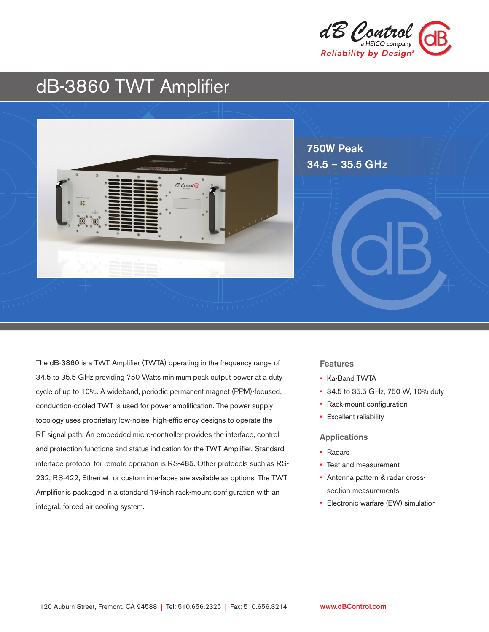

# dB-3860 TWT Amplifier



The dB-3860 is a TWT Amplifier (TWTA) operating in the frequency range of 34.5 to 35.5 GHz providing 750 Watts minimum peak output power at a duty cycle of up to 10%. A wideband, periodic permanent magnet (PPM)-focused, conduction-cooled TWT is used for power amplification. The power supply topology uses proprietary low-noise, high-efficiency designs to operate the RF signal path. An embedded micro-controller provides the interface, control and protection functions and status indication for the TWT Amplifier. Standard interface protocol for remote operation is RS-485. Other protocols such as RS-232, RS-422, Ethernet, or custom interfaces are available as options. The TWT Amplifier is packaged in a standard 19-inch rack-mount configuration with an integral, forced air cooling system.

## **Features**

- Ka-Band TWTA
- 34.5 to 35.5 GHz, 750 W, 10% duty
- Rack-mount configuration
- Excellent reliability

#### Applications

- Radars
- Test and measurement
- Antenna pattern & radar crosssection measurements
- Electronic warfare (EW) simulation